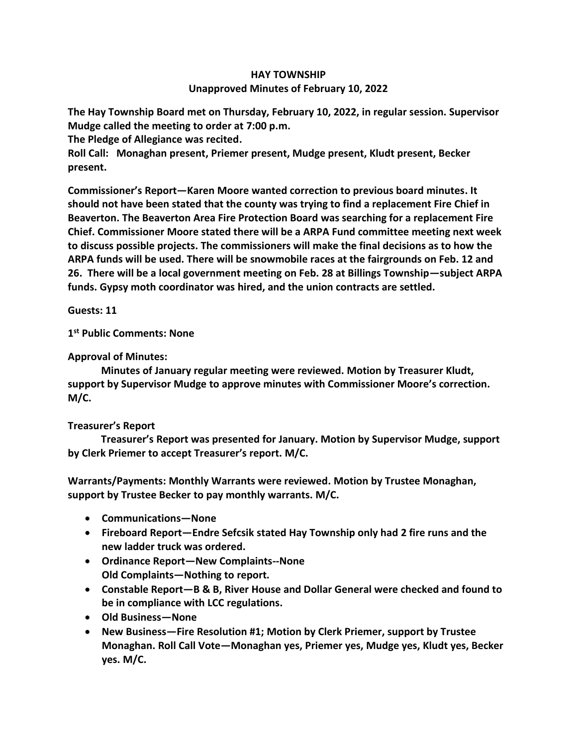## **HAY TOWNSHIP Unapproved Minutes of February 10, 2022**

**The Hay Township Board met on Thursday, February 10, 2022, in regular session. Supervisor Mudge called the meeting to order at 7:00 p.m.** 

**The Pledge of Allegiance was recited.** 

**Roll Call: Monaghan present, Priemer present, Mudge present, Kludt present, Becker present.**

**Commissioner's Report—Karen Moore wanted correction to previous board minutes. It should not have been stated that the county was trying to find a replacement Fire Chief in Beaverton. The Beaverton Area Fire Protection Board was searching for a replacement Fire Chief. Commissioner Moore stated there will be a ARPA Fund committee meeting next week to discuss possible projects. The commissioners will make the final decisions as to how the ARPA funds will be used. There will be snowmobile races at the fairgrounds on Feb. 12 and 26. There will be a local government meeting on Feb. 28 at Billings Township—subject ARPA funds. Gypsy moth coordinator was hired, and the union contracts are settled.**

**Guests: 11**

**1 st Public Comments: None**

## **Approval of Minutes:**

 **Minutes of January regular meeting were reviewed. Motion by Treasurer Kludt, support by Supervisor Mudge to approve minutes with Commissioner Moore's correction. M/C.**

## **Treasurer's Report**

 **Treasurer's Report was presented for January. Motion by Supervisor Mudge, support by Clerk Priemer to accept Treasurer's report. M/C.**

**Warrants/Payments: Monthly Warrants were reviewed. Motion by Trustee Monaghan, support by Trustee Becker to pay monthly warrants. M/C.**

- **Communications—None**
- **Fireboard Report—Endre Sefcsik stated Hay Township only had 2 fire runs and the new ladder truck was ordered.**
- **Ordinance Report—New Complaints--None Old Complaints—Nothing to report.**
- **Constable Report—B & B, River House and Dollar General were checked and found to be in compliance with LCC regulations.**
- **Old Business—None**
- **New Business—Fire Resolution #1; Motion by Clerk Priemer, support by Trustee Monaghan. Roll Call Vote—Monaghan yes, Priemer yes, Mudge yes, Kludt yes, Becker yes. M/C.**